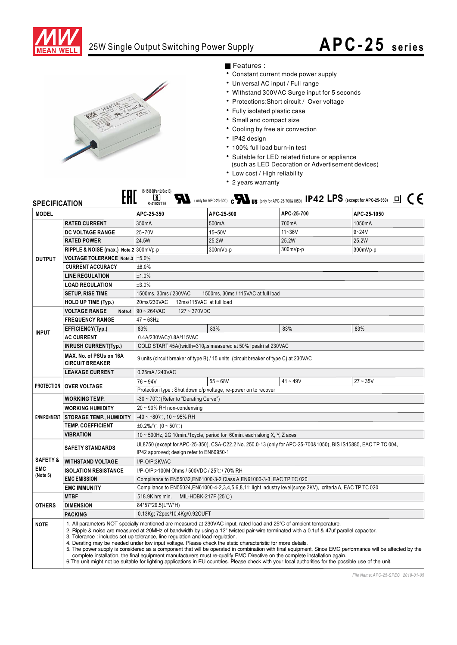

## 25W Single Output Switching Power Supply

## **APC-25 series**



## ■ Features :

- Constant current mode power supply
- Universal AC input / Full range
- Withstand 300VAC Surge input for 5 seconds
- Protections: Short circuit / Over voltage
- Fully isolated plastic case
- Small and compact size
- Cooling by free air convection
- IP42 design
- · 100% full load burn-in test
- Suitable for LED related fixture or appliance
	- (such as LED Decoration or Advertisement devices)
- Low cost / High reliability
- 2 years warranty

| IS 15885(Part 2/Sec13)<br>$\blacksquare$ (only for APC-25-500) $\mathfrak{c} \blacksquare$ US (only for APC-25-700&1050) IP42 LPS (except for APC-25-350) $\Box \subset \mathfrak{c}$<br>$\lbrack \pmb{\mathbb{S}} \rbrack$<br><b>SPECIFICATION</b><br>R-41027766 |                                                   |                                                                                                                                                                                                                                                                                                                                                                                                                                                                                                                                                                                                                                                                                                                                                                                                                                                                                                                       |            |            |             |  |
|-------------------------------------------------------------------------------------------------------------------------------------------------------------------------------------------------------------------------------------------------------------------|---------------------------------------------------|-----------------------------------------------------------------------------------------------------------------------------------------------------------------------------------------------------------------------------------------------------------------------------------------------------------------------------------------------------------------------------------------------------------------------------------------------------------------------------------------------------------------------------------------------------------------------------------------------------------------------------------------------------------------------------------------------------------------------------------------------------------------------------------------------------------------------------------------------------------------------------------------------------------------------|------------|------------|-------------|--|
| <b>MODEL</b>                                                                                                                                                                                                                                                      |                                                   | APC-25-350                                                                                                                                                                                                                                                                                                                                                                                                                                                                                                                                                                                                                                                                                                                                                                                                                                                                                                            | APC-25-500 | APC-25-700 | APC-25-1050 |  |
| <b>OUTPUT</b>                                                                                                                                                                                                                                                     | <b>RATED CURRENT</b>                              | 350mA                                                                                                                                                                                                                                                                                                                                                                                                                                                                                                                                                                                                                                                                                                                                                                                                                                                                                                                 | 500mA      | 700mA      | 1050mA      |  |
|                                                                                                                                                                                                                                                                   | DC VOLTAGE RANGE                                  | 25~70V                                                                                                                                                                                                                                                                                                                                                                                                                                                                                                                                                                                                                                                                                                                                                                                                                                                                                                                | 15~50V     | $11 - 36V$ | $9 - 24V$   |  |
|                                                                                                                                                                                                                                                                   | <b>RATED POWER</b>                                | 24.5W                                                                                                                                                                                                                                                                                                                                                                                                                                                                                                                                                                                                                                                                                                                                                                                                                                                                                                                 | 25.2W      | 25.2W      | 25.2W       |  |
|                                                                                                                                                                                                                                                                   | RIPPLE & NOISE (max.) Note.2 300mVp-p             |                                                                                                                                                                                                                                                                                                                                                                                                                                                                                                                                                                                                                                                                                                                                                                                                                                                                                                                       | 300mVp-p   | 300mVp-p   | 300mVp-p    |  |
|                                                                                                                                                                                                                                                                   | VOLTAGE TOLERANCE Note.3   ±5.0%                  |                                                                                                                                                                                                                                                                                                                                                                                                                                                                                                                                                                                                                                                                                                                                                                                                                                                                                                                       |            |            |             |  |
|                                                                                                                                                                                                                                                                   | <b>CURRENT ACCURACY</b>                           | ±8.0%                                                                                                                                                                                                                                                                                                                                                                                                                                                                                                                                                                                                                                                                                                                                                                                                                                                                                                                 |            |            |             |  |
|                                                                                                                                                                                                                                                                   | <b>LINE REGULATION</b>                            | ±1.0%                                                                                                                                                                                                                                                                                                                                                                                                                                                                                                                                                                                                                                                                                                                                                                                                                                                                                                                 |            |            |             |  |
|                                                                                                                                                                                                                                                                   | <b>LOAD REGULATION</b>                            | ±3.0%                                                                                                                                                                                                                                                                                                                                                                                                                                                                                                                                                                                                                                                                                                                                                                                                                                                                                                                 |            |            |             |  |
|                                                                                                                                                                                                                                                                   | <b>SETUP, RISE TIME</b>                           | 1500ms, 30ms / 230VAC<br>1500ms, 30ms / 115VAC at full load                                                                                                                                                                                                                                                                                                                                                                                                                                                                                                                                                                                                                                                                                                                                                                                                                                                           |            |            |             |  |
|                                                                                                                                                                                                                                                                   | <b>HOLD UP TIME (Typ.)</b>                        | 20ms/230VAC<br>12ms/115VAC at full load                                                                                                                                                                                                                                                                                                                                                                                                                                                                                                                                                                                                                                                                                                                                                                                                                                                                               |            |            |             |  |
| <b>INPUT</b>                                                                                                                                                                                                                                                      | <b>VOLTAGE RANGE</b><br>Note.4                    | $90 \sim 264$ VAC<br>127~370VDC                                                                                                                                                                                                                                                                                                                                                                                                                                                                                                                                                                                                                                                                                                                                                                                                                                                                                       |            |            |             |  |
|                                                                                                                                                                                                                                                                   | <b>FREQUENCY RANGE</b>                            | $47 \sim 63$ Hz                                                                                                                                                                                                                                                                                                                                                                                                                                                                                                                                                                                                                                                                                                                                                                                                                                                                                                       |            |            |             |  |
|                                                                                                                                                                                                                                                                   | EFFICIENCY(Typ.)                                  | 83%                                                                                                                                                                                                                                                                                                                                                                                                                                                                                                                                                                                                                                                                                                                                                                                                                                                                                                                   | 83%        | 83%        | 83%         |  |
|                                                                                                                                                                                                                                                                   | <b>AC CURRENT</b>                                 | 0.4A/230VAC;0.8A/115VAC                                                                                                                                                                                                                                                                                                                                                                                                                                                                                                                                                                                                                                                                                                                                                                                                                                                                                               |            |            |             |  |
|                                                                                                                                                                                                                                                                   | <b>INRUSH CURRENT(Typ.)</b>                       | COLD START 45A(twidth=310us measured at 50% Ipeak) at 230VAC                                                                                                                                                                                                                                                                                                                                                                                                                                                                                                                                                                                                                                                                                                                                                                                                                                                          |            |            |             |  |
|                                                                                                                                                                                                                                                                   | MAX. No. of PSUs on 16A<br><b>CIRCUIT BREAKER</b> | 9 units (circuit breaker of type B) / 15 units (circuit breaker of type C) at 230VAC                                                                                                                                                                                                                                                                                                                                                                                                                                                                                                                                                                                                                                                                                                                                                                                                                                  |            |            |             |  |
|                                                                                                                                                                                                                                                                   | <b>LEAKAGE CURRENT</b>                            | 0.25mA / 240VAC                                                                                                                                                                                                                                                                                                                                                                                                                                                                                                                                                                                                                                                                                                                                                                                                                                                                                                       |            |            |             |  |
| <b>PROTECTION</b>                                                                                                                                                                                                                                                 | <b>OVER VOLTAGE</b>                               | $76 - 94V$                                                                                                                                                                                                                                                                                                                                                                                                                                                                                                                                                                                                                                                                                                                                                                                                                                                                                                            | $55 - 68V$ | $41 - 49V$ | $27 - 35V$  |  |
|                                                                                                                                                                                                                                                                   |                                                   | Protection type : Shut down o/p voltage, re-power on to recover                                                                                                                                                                                                                                                                                                                                                                                                                                                                                                                                                                                                                                                                                                                                                                                                                                                       |            |            |             |  |
| <b>ENVIRONMENT</b>                                                                                                                                                                                                                                                | <b>WORKING TEMP.</b>                              | $-30 \sim 70^{\circ}$ (Refer to "Derating Curve")                                                                                                                                                                                                                                                                                                                                                                                                                                                                                                                                                                                                                                                                                                                                                                                                                                                                     |            |            |             |  |
|                                                                                                                                                                                                                                                                   | <b>WORKING HUMIDITY</b>                           | 20~90% RH non-condensing                                                                                                                                                                                                                                                                                                                                                                                                                                                                                                                                                                                                                                                                                                                                                                                                                                                                                              |            |            |             |  |
|                                                                                                                                                                                                                                                                   | <b>STORAGE TEMP., HUMIDITY</b>                    | $-40 \sim +80^{\circ}$ C, 10 ~ 95% RH                                                                                                                                                                                                                                                                                                                                                                                                                                                                                                                                                                                                                                                                                                                                                                                                                                                                                 |            |            |             |  |
|                                                                                                                                                                                                                                                                   | <b>TEMP. COEFFICIENT</b>                          | $\pm 0.2\%$ /°C (0 ~ 50°C)                                                                                                                                                                                                                                                                                                                                                                                                                                                                                                                                                                                                                                                                                                                                                                                                                                                                                            |            |            |             |  |
|                                                                                                                                                                                                                                                                   | <b>VIBRATION</b>                                  | 10 ~ 500Hz, 2G 10min./1cycle, period for 60min. each along X, Y, Z axes                                                                                                                                                                                                                                                                                                                                                                                                                                                                                                                                                                                                                                                                                                                                                                                                                                               |            |            |             |  |
|                                                                                                                                                                                                                                                                   | <b>SAFETY STANDARDS</b>                           | UL8750 (except for APC-25-350), CSA-C22.2 No. 250.0-13 (only for APC-25-700&1050), BIS IS15885, EAC TP TC 004,<br>IP42 approved; design refer to EN60950-1                                                                                                                                                                                                                                                                                                                                                                                                                                                                                                                                                                                                                                                                                                                                                            |            |            |             |  |
| <b>SAFETY &amp;</b><br><b>EMC</b><br>(Note 5)                                                                                                                                                                                                                     | <b>WITHSTAND VOLTAGE</b>                          | I/P-O/P:3KVAC                                                                                                                                                                                                                                                                                                                                                                                                                                                                                                                                                                                                                                                                                                                                                                                                                                                                                                         |            |            |             |  |
|                                                                                                                                                                                                                                                                   | <b>ISOLATION RESISTANCE</b>                       | I/P-O/P:>100M Ohms / 500VDC / 25℃/ 70% RH                                                                                                                                                                                                                                                                                                                                                                                                                                                                                                                                                                                                                                                                                                                                                                                                                                                                             |            |            |             |  |
|                                                                                                                                                                                                                                                                   | <b>EMC EMISSION</b>                               | Compliance to EN55032, EN61000-3-2 Class A, EN61000-3-3, EAC TP TC 020                                                                                                                                                                                                                                                                                                                                                                                                                                                                                                                                                                                                                                                                                                                                                                                                                                                |            |            |             |  |
|                                                                                                                                                                                                                                                                   | <b>EMC IMMUNITY</b>                               | Compliance to EN55024, EN61000-4-2, 3, 4, 5, 6, 8, 11; light industry level(surge 2KV), criteria A, EAC TP TC 020                                                                                                                                                                                                                                                                                                                                                                                                                                                                                                                                                                                                                                                                                                                                                                                                     |            |            |             |  |
| <b>OTHERS</b>                                                                                                                                                                                                                                                     | <b>MTBF</b>                                       | 518.9K hrs min.<br>MIL-HDBK-217F (25°C)                                                                                                                                                                                                                                                                                                                                                                                                                                                                                                                                                                                                                                                                                                                                                                                                                                                                               |            |            |             |  |
|                                                                                                                                                                                                                                                                   | <b>DIMENSION</b>                                  | 84*57*29.5(L*W*H)                                                                                                                                                                                                                                                                                                                                                                                                                                                                                                                                                                                                                                                                                                                                                                                                                                                                                                     |            |            |             |  |
|                                                                                                                                                                                                                                                                   | <b>PACKING</b>                                    | 0.13Kg; 72pcs/10.4Kg/0.92CUFT                                                                                                                                                                                                                                                                                                                                                                                                                                                                                                                                                                                                                                                                                                                                                                                                                                                                                         |            |            |             |  |
| <b>NOTE</b>                                                                                                                                                                                                                                                       |                                                   | 1. All parameters NOT specially mentioned are measured at 230VAC input, rated load and 25°C of ambient temperature.<br>2. Ripple & noise are measured at 20MHz of bandwidth by using a 12" twisted pair-wire terminated with a 0.1uf & 47uf parallel capacitor.<br>3. Tolerance: includes set up tolerance, line regulation and load regulation.<br>4. Derating may be needed under low input voltage. Please check the static characteristic for more details.<br>5. The power supply is considered as a component that will be operated in combination with final equipment. Since EMC performance will be affected by the<br>complete installation, the final equipment manufacturers must re-qualify EMC Directive on the complete installation again.<br>6. The unit might not be suitable for lighting applications in EU countries. Please check with your local authorities for the possible use of the unit. |            |            |             |  |